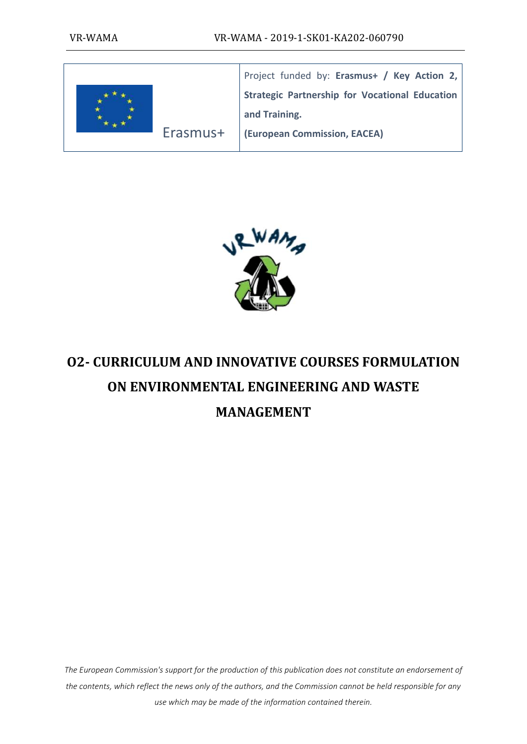

Project funded by: **Erasmus+ / Key Action 2, Strategic Partnership for Vocational Education and Training.**

**(European Commission, EACEA)**



# **O2- CURRICULUM AND INNOVATIVE COURSES FORMULATION ON ENVIRONMENTAL ENGINEERING AND WASTE MANAGEMENT**

*The European Commission's support for the production of this publication does not constitute an endorsement of the contents, which reflect the news only of the authors, and the Commission cannot be held responsible for any use which may be made of the information contained therein.*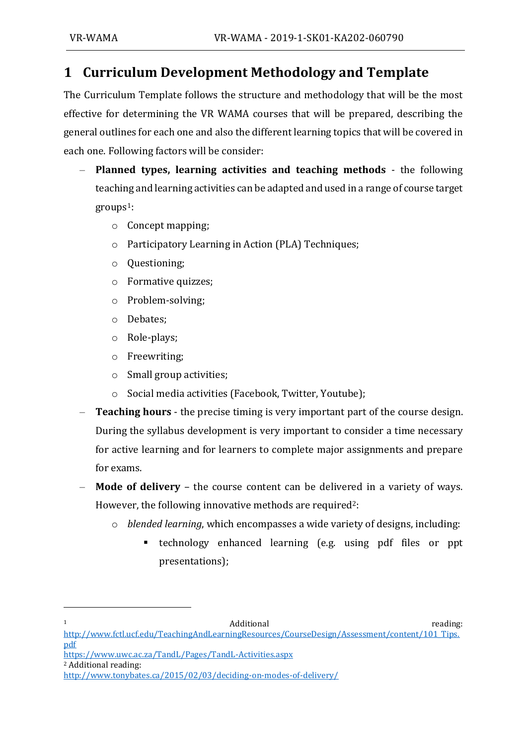## **1 Curriculum Development Methodology and Template**

The Curriculum Template follows the structure and methodology that will be the most effective for determining the VR WAMA courses that will be prepared, describing the general outlines for each one and also the different learning topics that will be covered in each one. Following factors will be consider:

- **Planned types, learning activities and teaching methods** the following teaching and learning activities can be adapted and used in a range of course target  $groups<sup>1</sup>$ :
	- o Concept mapping;
	- o Participatory Learning in Action (PLA) Techniques;
	- o Questioning;
	- o Formative quizzes;
	- o Problem-solving;
	- o Debates;
	- o Role-plays;
	- o Freewriting;
	- o Small group activities;
	- Social media activities (Facebook, Twitter, Youtube);
- **Teaching hours** the precise timing is very important part of the course design. During the syllabus development is very important to consider a time necessary for active learning and for learners to complete major assignments and prepare for exams.
- **Mode of delivery** the course content can be delivered in a variety of ways. However, the following innovative methods are required<sup>2</sup>:
	- o *blended learning*, which encompasses a wide variety of designs, including:
		- technology enhanced learning (e.g. using pdf files or ppt presentations);

```
1 Additional reading:
```
<sup>2</sup> Additional reading:

[http://www.fctl.ucf.edu/TeachingAndLearningResources/CourseDesign/Assessment/content/101\\_Tips.](http://www.fctl.ucf.edu/TeachingAndLearningResources/CourseDesign/Assessment/content/101_Tips.pdf) [pdf](http://www.fctl.ucf.edu/TeachingAndLearningResources/CourseDesign/Assessment/content/101_Tips.pdf)

<https://www.uwc.ac.za/TandL/Pages/TandL-Activities.aspx>

<http://www.tonybates.ca/2015/02/03/deciding-on-modes-of-delivery/>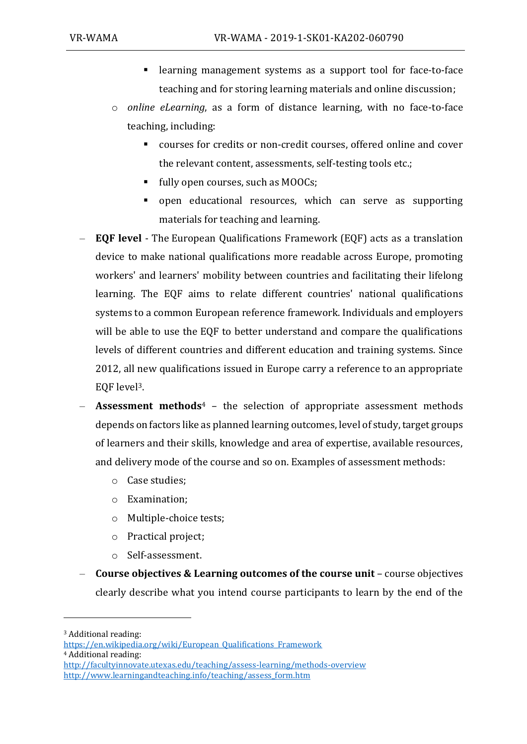- learning management systems as a support tool for face-to-face teaching and for storing learning materials and online discussion;
- o *online eLearning*, as a form of distance learning, with no face-to-face teaching, including:
	- courses for credits or non-credit courses, offered online and cover the relevant content, assessments, self-testing tools etc.;
	- fully open courses, such as MOOCs;
	- open educational resources, which can serve as supporting materials for teaching and learning.
- **EQF level** The European Qualifications Framework (EQF) acts as a translation device to make national qualifications more readable across Europe, promoting workers' and learners' mobility between countries and facilitating their lifelong learning. The EQF aims to relate different countries' national qualifications systems to a common European reference framework. Individuals and employers will be able to use the EQF to better understand and compare the qualifications levels of different countries and different education and training systems. Since 2012, all new qualifications issued in Europe carry a reference to an appropriate EQF level3.
- **Assessment methods**<sup>4</sup> the selection of appropriate assessment methods depends on factors like as planned learning outcomes, level of study, target groups of learners and their skills, knowledge and area of expertise, available resources, and delivery mode of the course and so on. Examples of assessment methods:
	- o Case studies;
	- o Examination;
	- o Multiple-choice tests;
	- o Practical project;
	- o Self-assessment.
- **Course objectives & Learning outcomes of the course unit** course objectives clearly describe what you intend course participants to learn by the end of the

<sup>3</sup> Additional reading:

[https://en.wikipedia.org/wiki/European\\_Qualifications\\_Framework](https://en.wikipedia.org/wiki/European_Qualifications_Framework) <sup>4</sup> Additional reading: <http://facultyinnovate.utexas.edu/teaching/assess-learning/methods-overview> [http://www.learningandteaching.info/teaching/assess\\_form.htm](http://www.learningandteaching.info/teaching/assess_form.htm)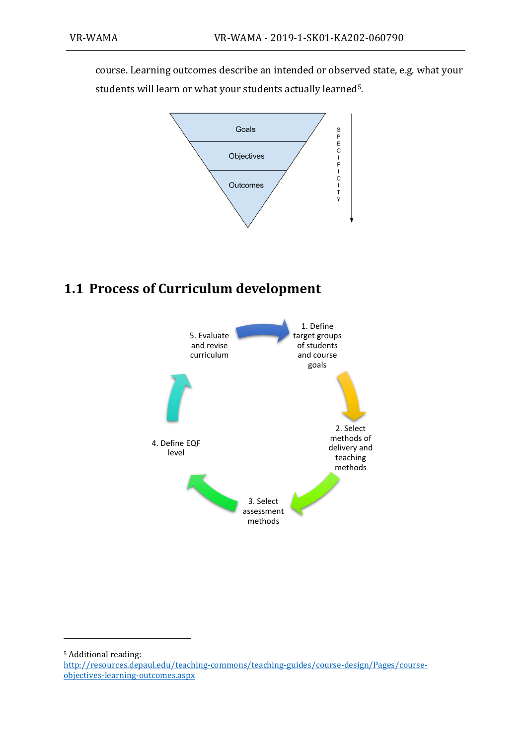course. Learning outcomes describe an intended or observed state, e.g. what your students will learn or what your students actually learned5.



## **1.1 Process of Curriculum development**



<sup>5</sup> Additional reading:

[http://resources.depaul.edu/teaching-commons/teaching-guides/course-design/Pages/course](http://resources.depaul.edu/teaching-commons/teaching-guides/course-design/Pages/course-objectives-learning-outcomes.aspx)[objectives-learning-outcomes.aspx](http://resources.depaul.edu/teaching-commons/teaching-guides/course-design/Pages/course-objectives-learning-outcomes.aspx)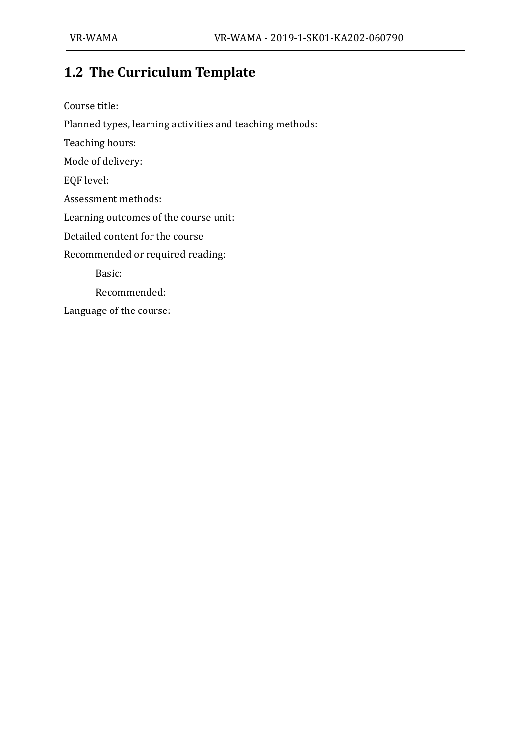## **1.2 The Curriculum Template**

Course title: Planned types, learning activities and teaching methods: Teaching hours: Mode of delivery: EQF level: Assessment methods: Learning outcomes of the course unit: Detailed content for the course Recommended or required reading: Basic: Recommended: Language of the course: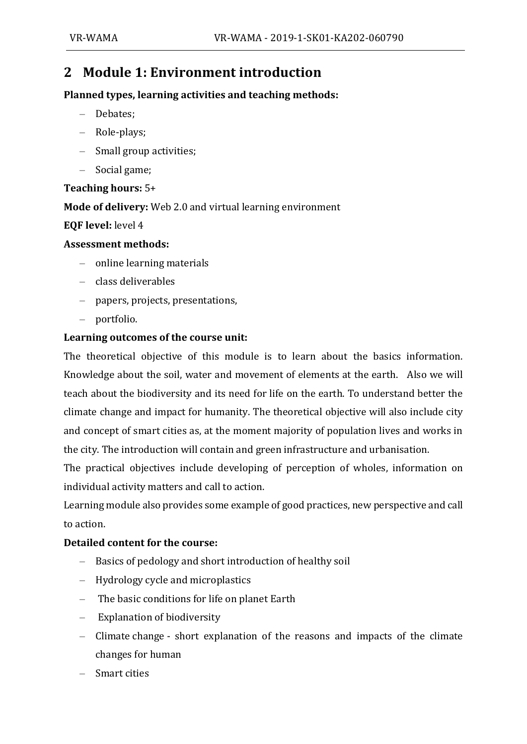### **2 Module 1: Environment introduction**

#### **Planned types, learning activities and teaching methods:**

- Debates;
- Role-plays;
- Small group activities;
- Social game;

#### **Teaching hours:** 5+

**Mode of delivery:** Web 2.0 and virtual learning environment

#### **EQF level:** level 4

#### **Assessment methods:**

- online learning materials
- class deliverables
- papers, projects, presentations,
- portfolio.

#### **Learning outcomes of the course unit:**

The theoretical objective of this module is to learn about the basics information. Knowledge about the soil, water and movement of elements at the earth. Also we will teach about the biodiversity and its need for life on the earth. To understand better the climate change and impact for humanity. The theoretical objective will also include city and concept of smart cities as, at the moment majority of population lives and works in the city. The introduction will contain and green infrastructure and urbanisation.

The practical objectives include developing of perception of wholes, information on individual activity matters and call to action.

Learning module also provides some example of good practices, new perspective and call to action.

#### **Detailed content for the course:**

- Basics of pedology and short introduction of healthy soil
- Hydrology cycle and microplastics
- The basic conditions for life on planet Earth
- Explanation of biodiversity
- Climate change short explanation of the reasons and impacts of the climate changes for human
- Smart cities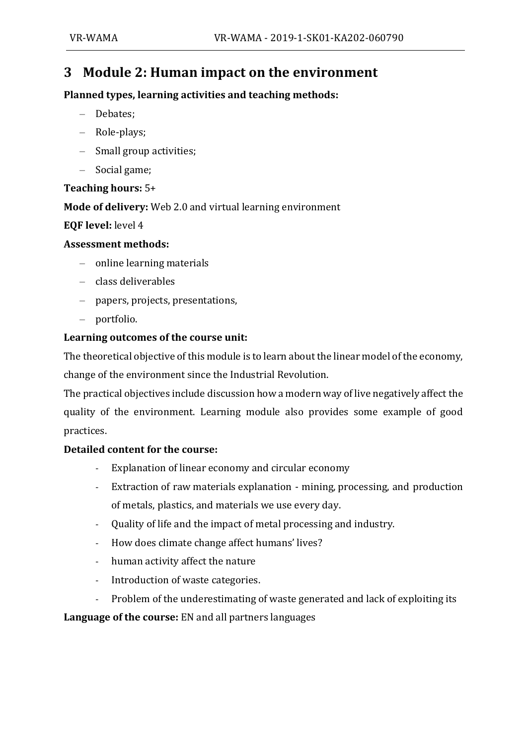## **3 Module 2: Human impact on the environment**

#### **Planned types, learning activities and teaching methods:**

- Debates;
- Role-plays;
- Small group activities;
- Social game;

#### **Teaching hours:** 5+

#### **Mode of delivery:** Web 2.0 and virtual learning environment

#### **EQF level:** level 4

#### **Assessment methods:**

- online learning materials
- class deliverables
- papers, projects, presentations,
- portfolio.

#### **Learning outcomes of the course unit:**

The theoretical objective of this module is to learn about the linear model of the economy, change of the environment since the Industrial Revolution.

The practical objectives include discussion how a modern way of live negatively affect the quality of the environment. Learning module also provides some example of good practices.

#### **Detailed content for the course:**

- Explanation of linear economy and circular economy
- Extraction of raw materials explanation mining, processing, and production of metals, plastics, and materials we use every day.
- Quality of life and the impact of metal processing and industry.
- How does climate change affect humans' lives?
- human activity affect the nature
- Introduction of waste categories.
- Problem of the underestimating of waste generated and lack of exploiting its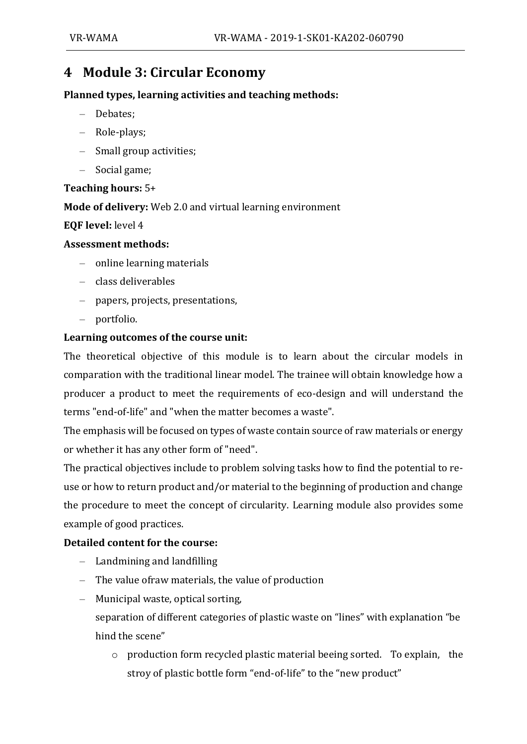### **4 Module 3: Circular Economy**

#### **Planned types, learning activities and teaching methods:**

- Debates;
- Role-plays;
- Small group activities;
- Social game;

#### **Teaching hours:** 5+

#### **Mode of delivery:** Web 2.0 and virtual learning environment

#### **EQF level:** level 4

#### **Assessment methods:**

- online learning materials
- class deliverables
- papers, projects, presentations,
- portfolio.

#### **Learning outcomes of the course unit:**

The theoretical objective of this module is to learn about the circular models in comparation with the traditional linear model. The trainee will obtain knowledge how a producer a product to meet the requirements of eco-design and will understand the terms "end-of-life" and "when the matter becomes a waste".

The emphasis will be focused on types of waste contain source of raw materials or energy or whether it has any other form of "need".

The practical objectives include to problem solving tasks how to find the potential to reuse or how to return product and/or material to the beginning of production and change the procedure to meet the concept of circularity. Learning module also provides some example of good practices.

#### **Detailed content for the course:**

- Landmining and landfilling
- The value ofraw materials, the value of production
- Municipal waste, optical sorting,
	- separation of different categories of plastic waste on "lines" with explanation "be hind the scene"
		- o production form recycled plastic material beeing sorted. To explain, the stroy of plastic bottle form "end-of-life" to the "new product"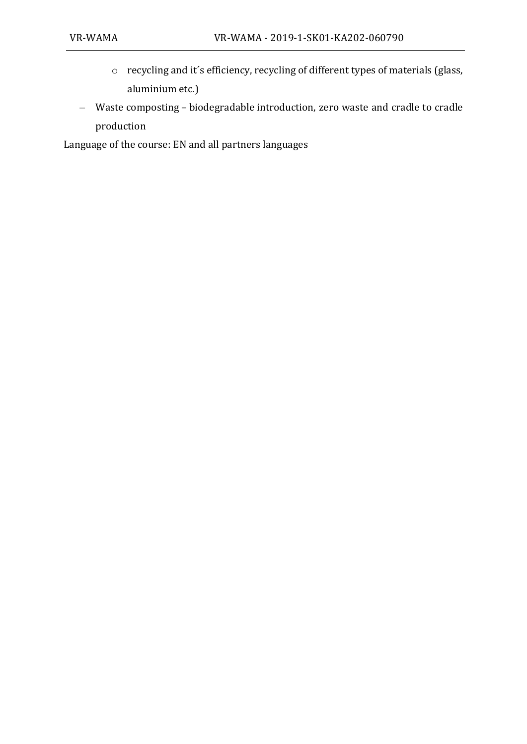- o recycling and it´s efficiency, recycling of different types of materials (glass, aluminium etc.)
- Waste composting biodegradable introduction, zero waste and cradle to cradle production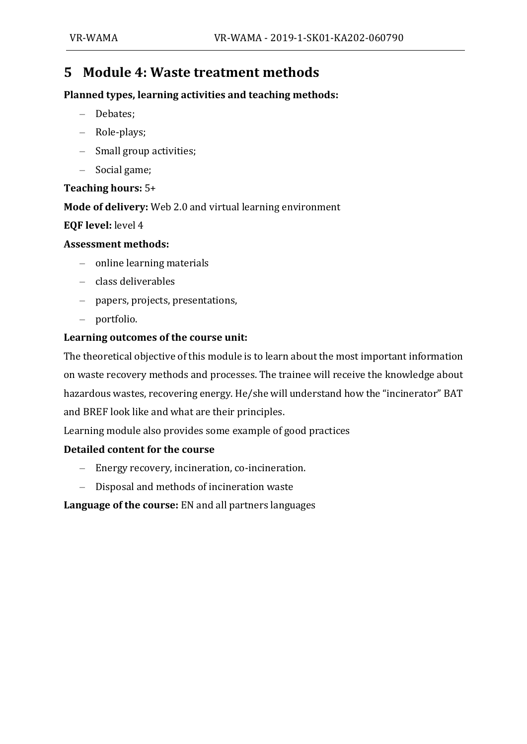### **5 Module 4: Waste treatment methods**

#### **Planned types, learning activities and teaching methods:**

- Debates;
- Role-plays;
- Small group activities;
- Social game;

#### **Teaching hours:** 5+

**Mode of delivery:** Web 2.0 and virtual learning environment

#### **EQF level:** level 4

#### **Assessment methods:**

- online learning materials
- class deliverables
- papers, projects, presentations,
- portfolio.

#### **Learning outcomes of the course unit:**

The theoretical objective of this module is to learn about the most important information on waste recovery methods and processes. The trainee will receive the knowledge about hazardous wastes, recovering energy. He/she will understand how the "incinerator" BAT and BREF look like and what are their principles.

Learning module also provides some example of good practices

#### **Detailed content for the course**

- Energy recovery, incineration, co-incineration.
- Disposal and methods of incineration waste